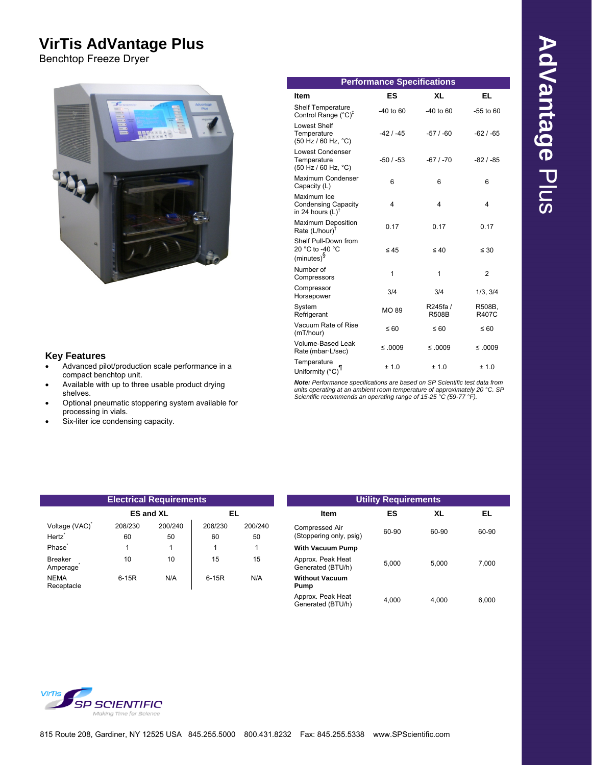# **VirTis AdVantage Plus**

Benchtop Freeze Dryer



## **Key Features**

- Temperature<br>
Advanced pilot/production scale performance in a compact benchtop unit.
- Available with up to three usable product drying shelves.
- Optional pneumatic stoppering system available for processing in vials.
- Six-liter ice condensing capacity.

| <b>Electrical Requirements</b>      |               |                  |               | <b>Utility Requirements</b> |                                           |       |          |
|-------------------------------------|---------------|------------------|---------------|-----------------------------|-------------------------------------------|-------|----------|
|                                     |               | <b>ES and XL</b> | EL            |                             | <b>Item</b>                               | ES    | XL       |
| Voltage (VAC)<br>Hertz <sup>*</sup> | 208/230<br>60 | 200/240<br>50    | 208/230<br>60 | 200/240<br>50               | Compressed Air<br>(Stoppering only, psig) | 60-90 | $60 - 9$ |
| Phase <sup>®</sup>                  |               |                  |               |                             | <b>With Vacuum Pump</b>                   |       |          |
| <b>Breaker</b><br>Amperage          | 10            | 10               | 15            | 15                          | Approx. Peak Heat<br>Generated (BTU/h)    | 5.000 | 5,00     |
| <b>NEMA</b><br>Receptacle           | $6-15R$       | N/A              | $6-15R$       | N/A                         | <b>Without Vacuum</b><br>Pump             |       |          |

|                                                  |                                                                             | <b>Performance Specifications</b> |                          |                        |
|--------------------------------------------------|-----------------------------------------------------------------------------|-----------------------------------|--------------------------|------------------------|
|                                                  | Item                                                                        | <b>ES</b>                         | <b>XL</b>                | EL.                    |
| <b>SEP SCIENTIS</b><br>Advantage<br><b>Plus</b>  | Shelf Temperature<br>Control Range $(^{\circ}C)^{\ddagger}$                 | -40 to 60                         | $-40$ to 60              | $-55$ to $60$          |
|                                                  | Lowest Shelf<br>Temperature<br>$(50$ Hz / 60 Hz, $°C)$                      | $-42/ -45$                        | $-57/ -60$               | $-62/ -65$             |
|                                                  | <b>Lowest Condenser</b><br>Temperature<br>(50 Hz / 60 Hz, °C)               | $-50/ -53$                        | $-67/ -70$               | $-82/ -85$             |
|                                                  | Maximum Condenser<br>Capacity (L)                                           | 6                                 | 6                        | 6                      |
|                                                  | Maximum Ice<br><b>Condensing Capacity</b><br>in 24 hours $(L)$ <sup>T</sup> | 4                                 | 4                        | 4                      |
|                                                  | <b>Maximum Deposition</b><br>Rate $(L/hour)^{\dagger}$                      | 0.17                              | 0.17                     | 0.17                   |
|                                                  | Shelf Pull-Down from<br>20 °C to -40 °C<br>$(minutes)^{\S}$                 | $\leq 45$                         | $\leq 40$                | $\leq 30$              |
|                                                  | Number of<br>Compressors                                                    | $\mathbf{1}$                      | 1                        | $\overline{2}$         |
|                                                  | Compressor<br>Horsepower                                                    | 3/4                               | 3/4                      | 1/3, 3/4               |
|                                                  | System<br>Refrigerant                                                       | <b>MO 89</b>                      | R245fa /<br><b>R508B</b> | R508B,<br><b>R407C</b> |
|                                                  | Vacuum Rate of Rise<br>(mT/hour)                                            | $\leq 60$                         | $\leq 60$                | $\leq 60$              |
|                                                  | Volume-Based Leak<br>Rate (mbar-L/sec)                                      | $≤ .0009$                         | $≤ .0009$                | $≤ .0009$              |
| Advanced pilot/production scale performance in a | Temperature<br>Uniformity (°C) <sup>1</sup>                                 | ± 1.0                             | ± 1.0                    | ± 1.0                  |

Available with up to three usable product drying<br>Shelves. The usable product drying<br>Scientific recommends an operating range of 15-25 °C (59-77 °F).

| <b>Electrical Requirements</b> |               |                  |               | <b>Utility Requirements</b> |                                           |       |       |       |
|--------------------------------|---------------|------------------|---------------|-----------------------------|-------------------------------------------|-------|-------|-------|
|                                |               | <b>ES and XL</b> | EL            |                             | <b>Item</b>                               | ES    | XL    | EL    |
| Voltage (VAC)<br>Hertz`        | 208/230<br>60 | 200/240<br>50    | 208/230<br>60 | 200/240<br>50               | Compressed Air<br>(Stoppering only, psig) | 60-90 | 60-90 | 60-90 |
| Phase <sup>*</sup>             |               |                  |               |                             | <b>With Vacuum Pump</b>                   |       |       |       |
| Breaker<br>Amperage            | 10            | 10               | 15            | 15                          | Approx. Peak Heat<br>Generated (BTU/h)    | 5.000 | 5.000 | 7,000 |
| NEMA<br>Receptacle             | $6-15R$       | N/A              | $6-15R$       | N/A                         | <b>Without Vacuum</b><br>Pump             |       |       |       |
|                                |               |                  |               |                             | Approx. Peak Heat<br>Generated (BTU/h)    | 4.000 | 4.000 | 6.000 |